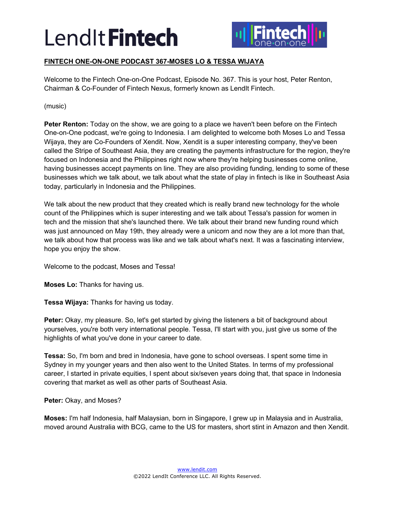

## **FINTECH ONE-ON-ONE PODCAST 367-MOSES LO & TESSA WIJAYA**

Welcome to the Fintech One-on-One Podcast, Episode No. 367. This is your host, Peter Renton, Chairman & Co-Founder of Fintech Nexus, formerly known as LendIt Fintech.

(music)

**Peter Renton:** Today on the show, we are going to a place we haven't been before on the Fintech One-on-One podcast, we're going to Indonesia. I am delighted to welcome both Moses Lo and Tessa Wijaya, they are Co-Founders of Xendit. Now, Xendit is a super interesting company, they've been called the Stripe of Southeast Asia, they are creating the payments infrastructure for the region, they're focused on Indonesia and the Philippines right now where they're helping businesses come online, having businesses accept payments on line. They are also providing funding, lending to some of these businesses which we talk about, we talk about what the state of play in fintech is like in Southeast Asia today, particularly in Indonesia and the Philippines.

We talk about the new product that they created which is really brand new technology for the whole count of the Philippines which is super interesting and we talk about Tessa's passion for women in tech and the mission that she's launched there. We talk about their brand new funding round which was just announced on May 19th, they already were a unicorn and now they are a lot more than that, we talk about how that process was like and we talk about what's next. It was a fascinating interview, hope you enjoy the show.

Welcome to the podcast, Moses and Tessa!

**Moses Lo:** Thanks for having us.

**Tessa Wijaya:** Thanks for having us today.

**Peter:** Okay, my pleasure. So, let's get started by giving the listeners a bit of background about yourselves, you're both very international people. Tessa, I'll start with you, just give us some of the highlights of what you've done in your career to date.

**Tessa:** So, I'm born and bred in Indonesia, have gone to school overseas. I spent some time in Sydney in my younger years and then also went to the United States. In terms of my professional career, I started in private equities, I spent about six/seven years doing that, that space in Indonesia covering that market as well as other parts of Southeast Asia.

**Peter:** Okay, and Moses?

**Moses:** I'm half Indonesia, half Malaysian, born in Singapore, I grew up in Malaysia and in Australia, moved around Australia with BCG, came to the US for masters, short stint in Amazon and then Xendit.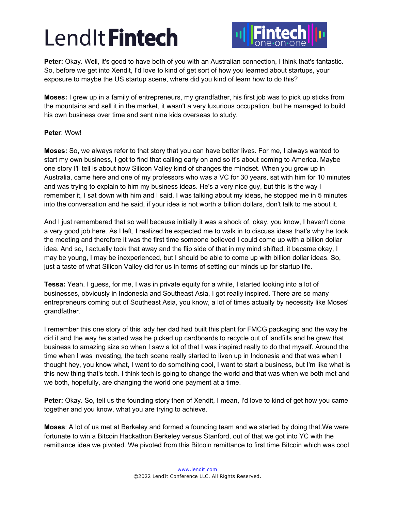

**Peter:** Okay. Well, it's good to have both of you with an Australian connection, I think that's fantastic. So, before we get into Xendit, I'd love to kind of get sort of how you learned about startups, your exposure to maybe the US startup scene, where did you kind of learn how to do this?

**Moses:** I grew up in a family of entrepreneurs, my grandfather, his first job was to pick up sticks from the mountains and sell it in the market, it wasn't a very luxurious occupation, but he managed to build his own business over time and sent nine kids overseas to study.

## **Peter**: Wow!

**Moses:** So, we always refer to that story that you can have better lives. For me, I always wanted to start my own business, I got to find that calling early on and so it's about coming to America. Maybe one story I'll tell is about how Silicon Valley kind of changes the mindset. When you grow up in Australia, came here and one of my professors who was a VC for 30 years, sat with him for 10 minutes and was trying to explain to him my business ideas. He's a very nice guy, but this is the way I remember it, I sat down with him and I said, I was talking about my ideas, he stopped me in 5 minutes into the conversation and he said, if your idea is not worth a billion dollars, don't talk to me about it.

And I just remembered that so well because initially it was a shock of, okay, you know, I haven't done a very good job here. As I left, I realized he expected me to walk in to discuss ideas that's why he took the meeting and therefore it was the first time someone believed I could come up with a billion dollar idea. And so, I actually took that away and the flip side of that in my mind shifted, it became okay, I may be young, I may be inexperienced, but I should be able to come up with billion dollar ideas. So, just a taste of what Silicon Valley did for us in terms of setting our minds up for startup life.

**Tessa:** Yeah. I guess, for me, I was in private equity for a while, I started looking into a lot of businesses, obviously in Indonesia and Southeast Asia, I got really inspired. There are so many entrepreneurs coming out of Southeast Asia, you know, a lot of times actually by necessity like Moses' grandfather.

I remember this one story of this lady her dad had built this plant for FMCG packaging and the way he did it and the way he started was he picked up cardboards to recycle out of landfills and he grew that business to amazing size so when I saw a lot of that I was inspired really to do that myself. Around the time when I was investing, the tech scene really started to liven up in Indonesia and that was when I thought hey, you know what, I want to do something cool, I want to start a business, but I'm like what is this new thing that's tech. I think tech is going to change the world and that was when we both met and we both, hopefully, are changing the world one payment at a time.

**Peter:** Okay. So, tell us the founding story then of Xendit, I mean, I'd love to kind of get how you came together and you know, what you are trying to achieve.

**Moses**: A lot of us met at Berkeley and formed a founding team and we started by doing that.We were fortunate to win a Bitcoin Hackathon Berkeley versus Stanford, out of that we got into YC with the remittance idea we pivoted. We pivoted from this Bitcoin remittance to first time Bitcoin which was cool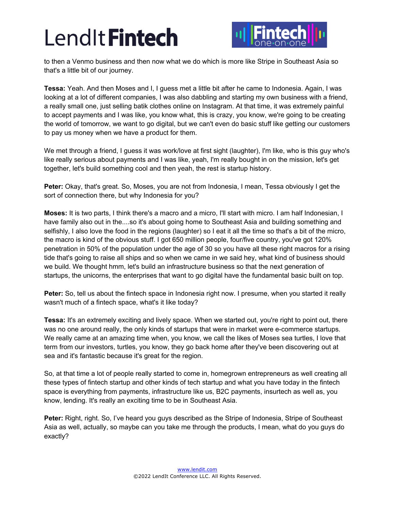

to then a Venmo business and then now what we do which is more like Stripe in Southeast Asia so that's a little bit of our journey.

**Tessa:** Yeah. And then Moses and I, I guess met a little bit after he came to Indonesia. Again, I was looking at a lot of different companies, I was also dabbling and starting my own business with a friend, a really small one, just selling batik clothes online on Instagram. At that time, it was extremely painful to accept payments and I was like, you know what, this is crazy, you know, we're going to be creating the world of tomorrow, we want to go digital, but we can't even do basic stuff like getting our customers to pay us money when we have a product for them.

We met through a friend, I guess it was work/love at first sight (laughter), I'm like, who is this guy who's like really serious about payments and I was like, yeah, I'm really bought in on the mission, let's get together, let's build something cool and then yeah, the rest is startup history.

**Peter:** Okay, that's great. So, Moses, you are not from Indonesia, I mean, Tessa obviously I get the sort of connection there, but why Indonesia for you?

**Moses:** It is two parts, I think there's a macro and a micro, I'll start with micro. I am half Indonesian, I have family also out in the....so it's about going home to Southeast Asia and building something and selfishly, I also love the food in the regions (laughter) so I eat it all the time so that's a bit of the micro, the macro is kind of the obvious stuff. I got 650 million people, four/five country, you've got 120% penetration in 50% of the population under the age of 30 so you have all these right macros for a rising tide that's going to raise all ships and so when we came in we said hey, what kind of business should we build. We thought hmm, let's build an infrastructure business so that the next generation of startups, the unicorns, the enterprises that want to go digital have the fundamental basic built on top.

**Peter:** So, tell us about the fintech space in Indonesia right now. I presume, when you started it really wasn't much of a fintech space, what's it like today?

**Tessa:** It's an extremely exciting and lively space. When we started out, you're right to point out, there was no one around really, the only kinds of startups that were in market were e-commerce startups. We really came at an amazing time when, you know, we call the likes of Moses sea turtles, I love that term from our investors, turtles, you know, they go back home after they've been discovering out at sea and it's fantastic because it's great for the region.

So, at that time a lot of people really started to come in, homegrown entrepreneurs as well creating all these types of fintech startup and other kinds of tech startup and what you have today in the fintech space is everything from payments, infrastructure like us, B2C payments, insurtech as well as, you know, lending. It's really an exciting time to be in Southeast Asia.

**Peter:** Right, right. So, I've heard you guys described as the Stripe of Indonesia, Stripe of Southeast Asia as well, actually, so maybe can you take me through the products, I mean, what do you guys do exactly?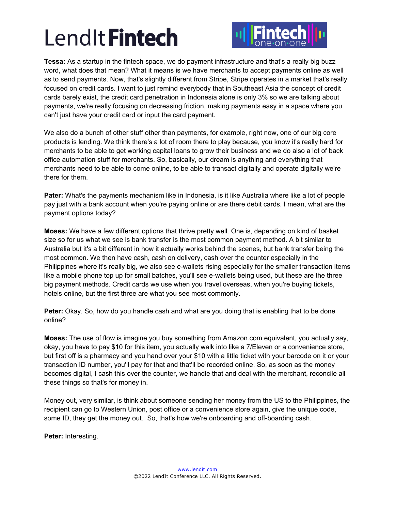

**Tessa:** As a startup in the fintech space, we do payment infrastructure and that's a really big buzz word, what does that mean? What it means is we have merchants to accept payments online as well as to send payments. Now, that's slightly different from Stripe, Stripe operates in a market that's really focused on credit cards. I want to just remind everybody that in Southeast Asia the concept of credit cards barely exist, the credit card penetration in Indonesia alone is only 3% so we are talking about payments, we're really focusing on decreasing friction, making payments easy in a space where you can't just have your credit card or input the card payment.

We also do a bunch of other stuff other than payments, for example, right now, one of our big core products is lending. We think there's a lot of room there to play because, you know it's really hard for merchants to be able to get working capital loans to grow their business and we do also a lot of back office automation stuff for merchants. So, basically, our dream is anything and everything that merchants need to be able to come online, to be able to transact digitally and operate digitally we're there for them.

**Pater:** What's the payments mechanism like in Indonesia, is it like Australia where like a lot of people pay just with a bank account when you're paying online or are there debit cards. I mean, what are the payment options today?

**Moses:** We have a few different options that thrive pretty well. One is, depending on kind of basket size so for us what we see is bank transfer is the most common payment method. A bit similar to Australia but it's a bit different in how it actually works behind the scenes, but bank transfer being the most common. We then have cash, cash on delivery, cash over the counter especially in the Philippines where it's really big, we also see e-wallets rising especially for the smaller transaction items like a mobile phone top up for small batches, you'll see e-wallets being used, but these are the three big payment methods. Credit cards we use when you travel overseas, when you're buying tickets, hotels online, but the first three are what you see most commonly.

**Peter:** Okay. So, how do you handle cash and what are you doing that is enabling that to be done online?

**Moses:** The use of flow is imagine you buy something from Amazon.com equivalent, you actually say, okay, you have to pay \$10 for this item, you actually walk into like a 7/Eleven or a convenience store, but first off is a pharmacy and you hand over your \$10 with a little ticket with your barcode on it or your transaction ID number, you'll pay for that and that'll be recorded online. So, as soon as the money becomes digital, I cash this over the counter, we handle that and deal with the merchant, reconcile all these things so that's for money in.

Money out, very similar, is think about someone sending her money from the US to the Philippines, the recipient can go to Western Union, post office or a convenience store again, give the unique code, some ID, they get the money out. So, that's how we're onboarding and off-boarding cash.

**Peter:** Interesting.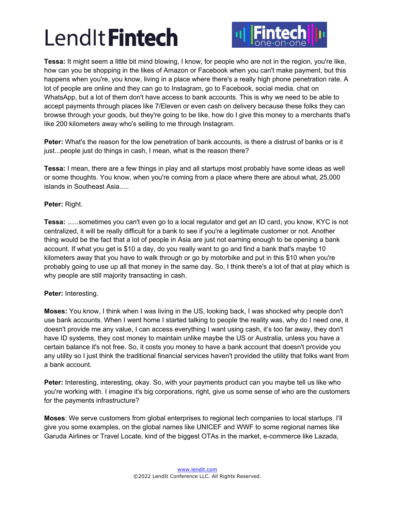

**Tessa:** It might seem a little bit mind blowing, I know, for people who are not in the region, you're like, how can you be shopping in the likes of Amazon or Facebook when you can't make payment, but this happens when you're, you know, living in a place where there's a really high phone penetration rate. A lot of people are online and they can go to Instagram, go to Facebook, social media, chat on WhatsApp, but a lot of them don't have access to bank accounts. This is why we need to be able to accept payments through places like 7/Eleven or even cash on delivery because these folks they can browse through your goods, but they're going to be like, how do I give this money to a merchants that's like 200 kilometers away who's selling to me through Instagram.

**Peter:** What's the reason for the low penetration of bank accounts, is there a distrust of banks or is it just...people just do things in cash, I mean, what is the reason there?

**Tessa:** I mean, there are a few things in play and all startups most probably have some ideas as well or some thoughts. You know, when you're coming from a place where there are about what, 25,000 islands in Southeast Asia.....

## **Peter:** Right.

**Tessa:** ......sometimes you can't even go to a local regulator and get an ID card, you know, KYC is not centralized, it will be really difficult for a bank to see if you're a legitimate customer or not. Another thing would be the fact that a lot of people in Asia are just not earning enough to be opening a bank account. If what you get is \$10 a day, do you really want to go and find a bank that's maybe 10 kilometers away that you have to walk through or go by motorbike and put in this \$10 when you're probably going to use up all that money in the same day. So, I think there's a lot of that at play which is why people are still majority transacting in cash.

## **Peter:** Interesting.

**Moses:** You know, I think when I was living in the US, looking back, I was shocked why people don't use bank accounts. When I went home I started talking to people the reality was, why do I need one, it doesn't provide me any value, I can access everything I want using cash, it's too far away, they don't have ID systems, they cost money to maintain unlike maybe the US or Australia, unless you have a certain balance it's not free. So, it costs you money to have a bank account that doesn't provide you any utility so I just think the traditional financial services haven't provided the utility that folks want from a bank account.

**Peter:** Interesting, interesting, okay. So, with your payments product can you maybe tell us like who you're working with. I imagine it's big corporations, right, give us some sense of who are the customers for the payments infrastructure?

**Moses**: We serve customers from global enterprises to regional tech companies to local startups. I'll give you some examples, on the global names like UNICEF and WWF to some regional names like Garuda Airlines or Travel Locate, kind of the biggest OTAs in the market, e-commerce like Lazada,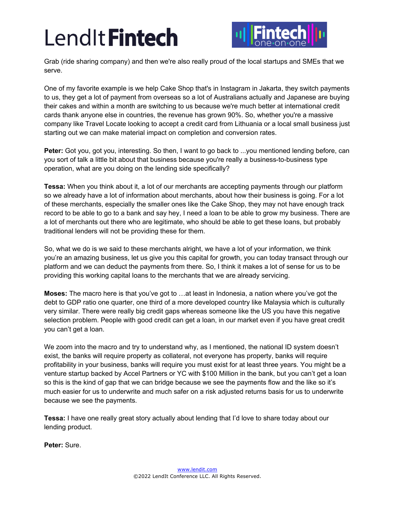

Grab (ride sharing company) and then we're also really proud of the local startups and SMEs that we serve.

One of my favorite example is we help Cake Shop that's in Instagram in Jakarta, they switch payments to us, they get a lot of payment from overseas so a lot of Australians actually and Japanese are buying their cakes and within a month are switching to us because we're much better at international credit cards thank anyone else in countries, the revenue has grown 90%. So, whether you're a massive company like Travel Locate looking to accept a credit card from Lithuania or a local small business just starting out we can make material impact on completion and conversion rates.

**Peter:** Got you, got you, interesting. So then, I want to go back to ...you mentioned lending before, can you sort of talk a little bit about that business because you're really a business-to-business type operation, what are you doing on the lending side specifically?

**Tessa:** When you think about it, a lot of our merchants are accepting payments through our platform so we already have a lot of information about merchants, about how their business is going. For a lot of these merchants, especially the smaller ones like the Cake Shop, they may not have enough track record to be able to go to a bank and say hey, I need a loan to be able to grow my business. There are a lot of merchants out there who are legitimate, who should be able to get these loans, but probably traditional lenders will not be providing these for them.

So, what we do is we said to these merchants alright, we have a lot of your information, we think you're an amazing business, let us give you this capital for growth, you can today transact through our platform and we can deduct the payments from there. So, I think it makes a lot of sense for us to be providing this working capital loans to the merchants that we are already servicing.

**Moses:** The macro here is that you've got to …at least in Indonesia, a nation where you've got the debt to GDP ratio one quarter, one third of a more developed country like Malaysia which is culturally very similar. There were really big credit gaps whereas someone like the US you have this negative selection problem. People with good credit can get a loan, in our market even if you have great credit you can't get a loan.

We zoom into the macro and try to understand why, as I mentioned, the national ID system doesn't exist, the banks will require property as collateral, not everyone has property, banks will require profitability in your business, banks will require you must exist for at least three years. You might be a venture startup backed by Accel Partners or YC with \$100 Million in the bank, but you can't get a loan so this is the kind of gap that we can bridge because we see the payments flow and the like so it's much easier for us to underwrite and much safer on a risk adjusted returns basis for us to underwrite because we see the payments.

**Tessa:** I have one really great story actually about lending that I'd love to share today about our lending product.

**Peter:** Sure.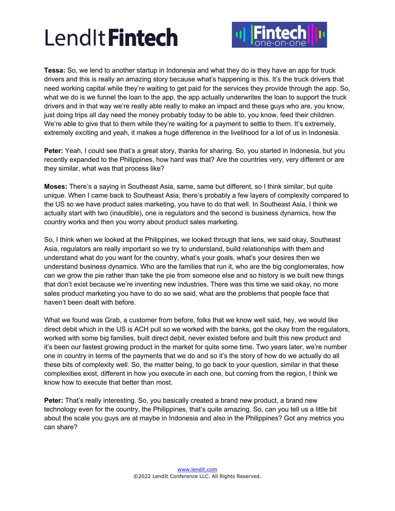

**Tessa:** So, we lend to another startup in Indonesia and what they do is they have an app for truck drivers and this is really an amazing story because what's happening is this. It's the truck drivers that need working capital while they're waiting to get paid for the services they provide through the app. So, what we do is we funnel the loan to the app, the app actually underwrites the loan to support the truck drivers and in that way we're really able really to make an impact and these guys who are, you know, just doing trips all day need the money probably today to be able to, you know, feed their children. We're able to give that to them while they're waiting for a payment to settle to them. It's extremely, extremely exciting and yeah, it makes a huge difference in the livelihood for a lot of us in Indonesia.

Peter: Yeah, I could see that's a great story, thanks for sharing. So, you started in Indonesia, but you recently expanded to the Philippines, how hard was that? Are the countries very, very different or are they similar, what was that process like?

**Moses:** There's a saying in Southeast Asia, same, same but different, so I think similar, but quite unique. When I came back to Southeast Asia, there's probably a few layers of complexity compared to the US so we have product sales marketing, you have to do that well. In Southeast Asia, I think we actually start with two (inaudible), one is regulators and the second is business dynamics, how the country works and then you worry about product sales marketing.

So, I think when we looked at the Philippines, we looked through that lens, we said okay, Southeast Asia, regulators are really important so we try to understand, build relationships with them and understand what do you want for the country, what's your goals, what's your desires then we understand business dynamics. Who are the families that run it, who are the big conglomerates, how can we grow the pie rather than take the pie from someone else and so history is we built new things that don't exist because we're inventing new industries. There was this time we said okay, no more sales product marketing you have to do so we said, what are the problems that people face that haven't been dealt with before.

What we found was Grab, a customer from before, folks that we know well said, hey, we would like direct debit which in the US is ACH pull so we worked with the banks, got the okay from the regulators, worked with some big families, built direct debit, never existed before and built this new product and it's been our fastest growing product in the market for quite some time. Two years later, we're number one in country in terms of the payments that we do and so it's the story of how do we actually do all these bits of complexity well. So, the matter being, to go back to your question, similar in that these complexities exist, different in how you execute in each one, but coming from the region, I think we know how to execute that better than most.

**Peter:** That's really interesting. So, you basically created a brand new product, a brand new technology even for the country, the Philippines, that's quite amazing. So, can you tell us a little bit about the scale you guys are at maybe in Indonesia and also in the Philippines? Got any metrics you can share?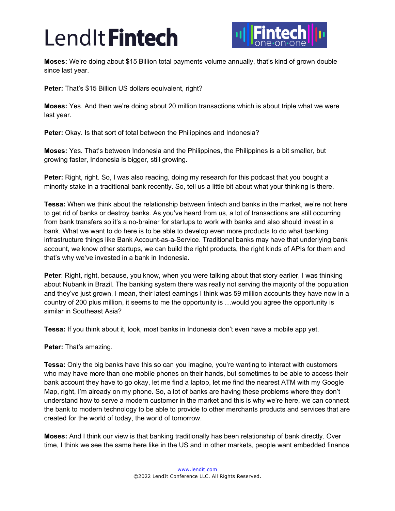

**Moses:** We're doing about \$15 Billion total payments volume annually, that's kind of grown double since last year.

**Peter:** That's \$15 Billion US dollars equivalent, right?

**Moses:** Yes. And then we're doing about 20 million transactions which is about triple what we were last year.

**Peter:** Okay. Is that sort of total between the Philippines and Indonesia?

**Moses:** Yes. That's between Indonesia and the Philippines, the Philippines is a bit smaller, but growing faster, Indonesia is bigger, still growing.

**Peter:** Right, right. So, I was also reading, doing my research for this podcast that you bought a minority stake in a traditional bank recently. So, tell us a little bit about what your thinking is there.

**Tessa:** When we think about the relationship between fintech and banks in the market, we're not here to get rid of banks or destroy banks. As you've heard from us, a lot of transactions are still occurring from bank transfers so it's a no-brainer for startups to work with banks and also should invest in a bank. What we want to do here is to be able to develop even more products to do what banking infrastructure things like Bank Account-as-a-Service. Traditional banks may have that underlying bank account, we know other startups, we can build the right products, the right kinds of APIs for them and that's why we've invested in a bank in Indonesia.

**Peter**: Right, right, because, you know, when you were talking about that story earlier, I was thinking about Nubank in Brazil. The banking system there was really not serving the majority of the population and they've just grown, I mean, their latest earnings I think was 59 million accounts they have now in a country of 200 plus million, it seems to me the opportunity is …would you agree the opportunity is similar in Southeast Asia?

**Tessa:** If you think about it, look, most banks in Indonesia don't even have a mobile app yet.

**Peter:** That's amazing.

**Tessa:** Only the big banks have this so can you imagine, you're wanting to interact with customers who may have more than one mobile phones on their hands, but sometimes to be able to access their bank account they have to go okay, let me find a laptop, let me find the nearest ATM with my Google Map, right, I'm already on my phone. So, a lot of banks are having these problems where they don't understand how to serve a modern customer in the market and this is why we're here, we can connect the bank to modern technology to be able to provide to other merchants products and services that are created for the world of today, the world of tomorrow.

**Moses:** And I think our view is that banking traditionally has been relationship of bank directly. Over time, I think we see the same here like in the US and in other markets, people want embedded finance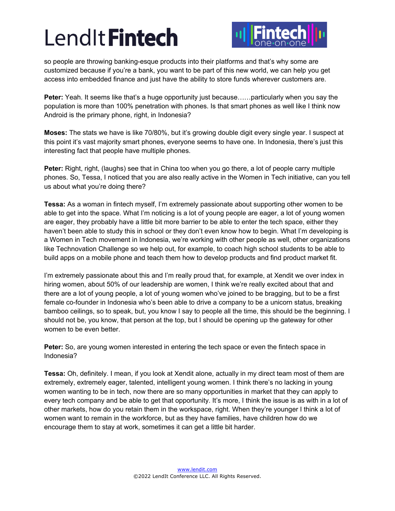

so people are throwing banking-esque products into their platforms and that's why some are customized because if you're a bank, you want to be part of this new world, we can help you get access into embedded finance and just have the ability to store funds wherever customers are.

**Peter:** Yeah. It seems like that's a huge opportunity just because……particularly when you say the population is more than 100% penetration with phones. Is that smart phones as well like I think now Android is the primary phone, right, in Indonesia?

**Moses:** The stats we have is like 70/80%, but it's growing double digit every single year. I suspect at this point it's vast majority smart phones, everyone seems to have one. In Indonesia, there's just this interesting fact that people have multiple phones.

**Peter:** Right, right, (laughs) see that in China too when you go there, a lot of people carry multiple phones. So, Tessa, I noticed that you are also really active in the Women in Tech initiative, can you tell us about what you're doing there?

**Tessa:** As a woman in fintech myself, I'm extremely passionate about supporting other women to be able to get into the space. What I'm noticing is a lot of young people are eager, a lot of young women are eager, they probably have a little bit more barrier to be able to enter the tech space, either they haven't been able to study this in school or they don't even know how to begin. What I'm developing is a Women in Tech movement in Indonesia, we're working with other people as well, other organizations like Technovation Challenge so we help out, for example, to coach high school students to be able to build apps on a mobile phone and teach them how to develop products and find product market fit.

I'm extremely passionate about this and I'm really proud that, for example, at Xendit we over index in hiring women, about 50% of our leadership are women, I think we're really excited about that and there are a lot of young people, a lot of young women who've joined to be bragging, but to be a first female co-founder in Indonesia who's been able to drive a company to be a unicorn status, breaking bamboo ceilings, so to speak, but, you know I say to people all the time, this should be the beginning. I should not be, you know, that person at the top, but I should be opening up the gateway for other women to be even better.

**Peter:** So, are young women interested in entering the tech space or even the fintech space in Indonesia?

**Tessa:** Oh, definitely. I mean, if you look at Xendit alone, actually in my direct team most of them are extremely, extremely eager, talented, intelligent young women. I think there's no lacking in young women wanting to be in tech, now there are so many opportunities in market that they can apply to every tech company and be able to get that opportunity. It's more, I think the issue is as with in a lot of other markets, how do you retain them in the workspace, right. When they're younger I think a lot of women want to remain in the workforce, but as they have families, have children how do we encourage them to stay at work, sometimes it can get a little bit harder.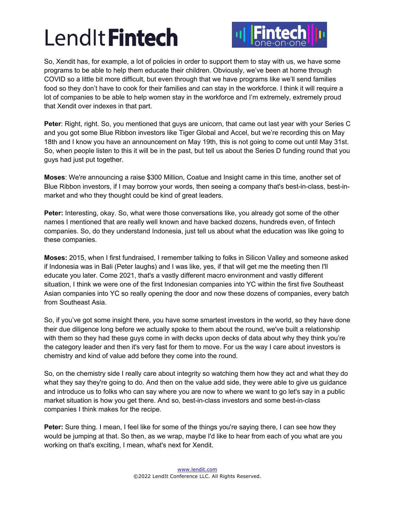

So, Xendit has, for example, a lot of policies in order to support them to stay with us, we have some programs to be able to help them educate their children. Obviously, we've been at home through COVID so a little bit more difficult, but even through that we have programs like we'll send families food so they don't have to cook for their families and can stay in the workforce. I think it will require a lot of companies to be able to help women stay in the workforce and I'm extremely, extremely proud that Xendit over indexes in that part.

**Peter**: Right, right. So, you mentioned that guys are unicorn, that came out last year with your Series C and you got some Blue Ribbon investors like Tiger Global and Accel, but we're recording this on May 18th and I know you have an announcement on May 19th, this is not going to come out until May 31st. So, when people listen to this it will be in the past, but tell us about the Series D funding round that you guys had just put together.

**Moses**: We're announcing a raise \$300 Million, Coatue and Insight came in this time, another set of Blue Ribbon investors, if I may borrow your words, then seeing a company that's best-in-class, best-inmarket and who they thought could be kind of great leaders.

**Peter:** Interesting, okay. So, what were those conversations like, you already got some of the other names I mentioned that are really well known and have backed dozens, hundreds even, of fintech companies. So, do they understand Indonesia, just tell us about what the education was like going to these companies.

**Moses:** 2015, when I first fundraised, I remember talking to folks in Silicon Valley and someone asked if Indonesia was in Bali (Peter laughs) and I was like, yes, if that will get me the meeting then I'll educate you later. Come 2021, that's a vastly different macro environment and vastly different situation, I think we were one of the first Indonesian companies into YC within the first five Southeast Asian companies into YC so really opening the door and now these dozens of companies, every batch from Southeast Asia.

So, if you've got some insight there, you have some smartest investors in the world, so they have done their due diligence long before we actually spoke to them about the round, we've built a relationship with them so they had these guys come in with decks upon decks of data about why they think you're the category leader and then it's very fast for them to move. For us the way I care about investors is chemistry and kind of value add before they come into the round.

So, on the chemistry side I really care about integrity so watching them how they act and what they do what they say they're going to do. And then on the value add side, they were able to give us guidance and introduce us to folks who can say where you are now to where we want to go let's say in a public market situation is how you get there. And so, best-in-class investors and some best-in-class companies I think makes for the recipe.

**Peter:** Sure thing. I mean, I feel like for some of the things you're saying there, I can see how they would be jumping at that. So then, as we wrap, maybe I'd like to hear from each of you what are you working on that's exciting, I mean, what's next for Xendit.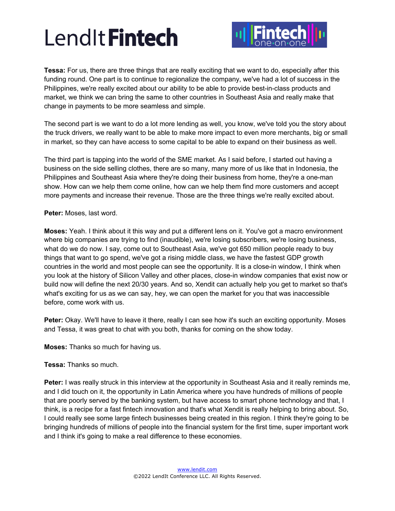

**Tessa:** For us, there are three things that are really exciting that we want to do, especially after this funding round. One part is to continue to regionalize the company, we've had a lot of success in the Philippines, we're really excited about our ability to be able to provide best-in-class products and market, we think we can bring the same to other countries in Southeast Asia and really make that change in payments to be more seamless and simple.

The second part is we want to do a lot more lending as well, you know, we've told you the story about the truck drivers, we really want to be able to make more impact to even more merchants, big or small in market, so they can have access to some capital to be able to expand on their business as well.

The third part is tapping into the world of the SME market. As I said before, I started out having a business on the side selling clothes, there are so many, many more of us like that in Indonesia, the Philippines and Southeast Asia where they're doing their business from home, they're a one-man show. How can we help them come online, how can we help them find more customers and accept more payments and increase their revenue. Those are the three things we're really excited about.

**Peter:** Moses, last word.

**Moses:** Yeah. I think about it this way and put a different lens on it. You've got a macro environment where big companies are trying to find (inaudible), we're losing subscribers, we're losing business, what do we do now. I say, come out to Southeast Asia, we've got 650 million people ready to buy things that want to go spend, we've got a rising middle class, we have the fastest GDP growth countries in the world and most people can see the opportunity. It is a close-in window, I think when you look at the history of Silicon Valley and other places, close-in window companies that exist now or build now will define the next 20/30 years. And so, Xendit can actually help you get to market so that's what's exciting for us as we can say, hey, we can open the market for you that was inaccessible before, come work with us.

**Peter:** Okay. We'll have to leave it there, really I can see how it's such an exciting opportunity. Moses and Tessa, it was great to chat with you both, thanks for coming on the show today.

**Moses:** Thanks so much for having us.

**Tessa:** Thanks so much.

**Peter:** I was really struck in this interview at the opportunity in Southeast Asia and it really reminds me, and I did touch on it, the opportunity in Latin America where you have hundreds of millions of people that are poorly served by the banking system, but have access to smart phone technology and that, I think, is a recipe for a fast fintech innovation and that's what Xendit is really helping to bring about. So, I could really see some large fintech businesses being created in this region. I think they're going to be bringing hundreds of millions of people into the financial system for the first time, super important work and I think it's going to make a real difference to these economies.